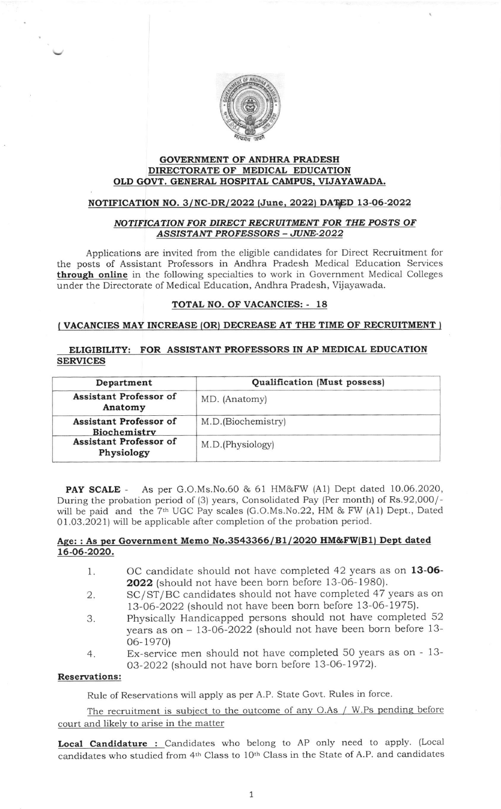

## GOVERNMENT OF ANDHRA PRADESH DIRECTORATE OF MEDICAL EDUCATION OLD GOVT. GENERAL HOSPITAL CAMPUS, VIJAYAWADA.

# NOTIFICATION NO. 3/NC-DR/2022 (June, 2022) DATED 13-06-2022

## NOTIFICATION FOR DIRECT RECRUITMENT FOR THE POSTS OF ASSISTANT PROFESSORS - JUNE-2022

Applications are invited from the eligible candidates for Direct Recruitment for the posts of Assistant Professors in Andhra Pradesh Medical Education Services through online in the following specialties to work in Government Medical Colleges under the Directorate of Medical Education, Andhra Pradesh, Vijayawada.

## TOTAL NO. OF VACANCIES: - 18

#### (VACANCIES MAY INCREASE (OR) DECREASE AT THE TIME OF RECRUITMENT )

# ELIGIBILITY: FOR ASSISTANT PROFESSORS IN AP MEDICAL EDUCATION SERVICES

| Department                                    | Qualification (Must possess) |  |
|-----------------------------------------------|------------------------------|--|
| Assistant Professor of<br>Anatomy             | MD. (Anatomy)                |  |
| <b>Assistant Professor of</b><br>Biochemistry | M.D. (Biochemistry)          |  |
| Assistant Professor of<br>Physiology          | M.D.(Physiology)             |  |

PAY SCALE - As per G.O.Ms.No.60 & 61 HM&FW (Al) Dept dated 10.06.2020, During the probation period of (3) years, Consolidated Pay (Per month) of Rs.92,000/ will be paid and the 7<sup>th</sup> UGC Pay scales (G.O.Ms.No.22, HM & FW (A1) Dept., Dated 01.03.2021) will be applicable after completion of the probation period.

# Age: : As per Government Memo No.3543366/B1/2020 HM&FW(B1) Dept dated L6-06-2020.

- 1 OC candidate should not have completed 42 years as on 13-06- 2O22 (should not have been born before 13-06-198O).
- 2. SC/ST/BC candidates should not have completed 47 years as on 73-06-2022 (should not have been born before 13-06-1975).
- 3. Physically Handicapped persons should not have completed 52 years as on - 13-06-2022 (should not have been born before 13- 06- 1970)
- Ex-service men should not have completed 50 years as on 13- 03-2022 (should not have born before 13-06-1972). 4

#### Reservations:

Rule of Reservations will apply as per A.P. State Govt. Rules in force

The recruitment is subject to the outcome of any O.As / W.Ps pending before court and likely to arise in the matter

Local Candidature : Candidates who belong to AP only need to apply. (Local candidates who studied from 4th Class to 10th Class in the State of A.P. and candidates